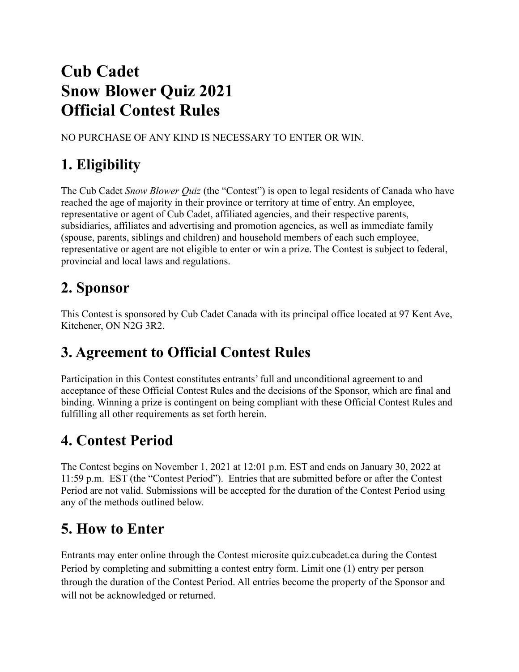# **Cub Cadet Snow Blower Quiz 2021 Official Contest Rules**

NO PURCHASE OF ANY KIND IS NECESSARY TO ENTER OR WIN.

## **1. Eligibility**

The Cub Cadet *Snow Blower Quiz* (the "Contest") is open to legal residents of Canada who have reached the age of majority in their province or territory at time of entry. An employee, representative or agent of Cub Cadet, affiliated agencies, and their respective parents, subsidiaries, affiliates and advertising and promotion agencies, as well as immediate family (spouse, parents, siblings and children) and household members of each such employee, representative or agent are not eligible to enter or win a prize. The Contest is subject to federal, provincial and local laws and regulations.

## **2. Sponsor**

This Contest is sponsored by Cub Cadet Canada with its principal office located at 97 Kent Ave, Kitchener, ON N2G 3R2.

## **3. Agreement to Official Contest Rules**

Participation in this Contest constitutes entrants' full and unconditional agreement to and acceptance of these Official Contest Rules and the decisions of the Sponsor, which are final and binding. Winning a prize is contingent on being compliant with these Official Contest Rules and fulfilling all other requirements as set forth herein.

## **4. Contest Period**

The Contest begins on November 1, 2021 at 12:01 p.m. EST and ends on January 30, 2022 at 11:59 p.m. EST (the "Contest Period"). Entries that are submitted before or after the Contest Period are not valid. Submissions will be accepted for the duration of the Contest Period using any of the methods outlined below.

# **5. How to Enter**

Entrants may enter online through the Contest microsite quiz.cubcadet.ca during the Contest Period by completing and submitting a contest entry form. Limit one (1) entry per person through the duration of the Contest Period. All entries become the property of the Sponsor and will not be acknowledged or returned.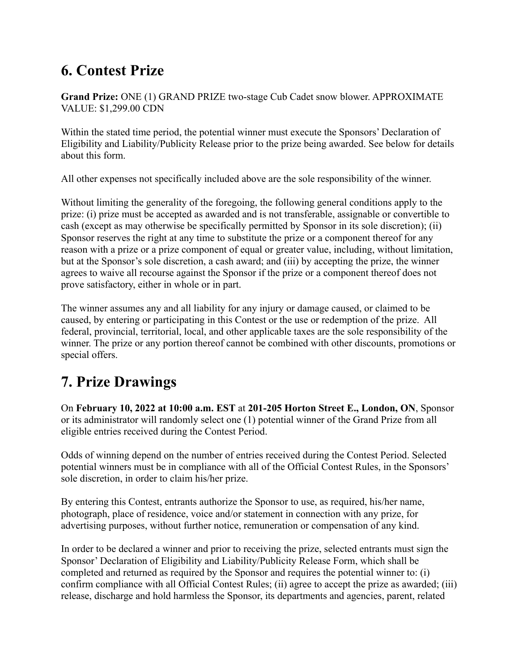### **6. Contest Prize**

**Grand Prize:** ONE (1) GRAND PRIZE two-stage Cub Cadet snow blower. APPROXIMATE VALUE: \$1,299.00 CDN

Within the stated time period, the potential winner must execute the Sponsors' Declaration of Eligibility and Liability/Publicity Release prior to the prize being awarded. See below for details about this form.

All other expenses not specifically included above are the sole responsibility of the winner.

Without limiting the generality of the foregoing, the following general conditions apply to the prize: (i) prize must be accepted as awarded and is not transferable, assignable or convertible to cash (except as may otherwise be specifically permitted by Sponsor in its sole discretion); (ii) Sponsor reserves the right at any time to substitute the prize or a component thereof for any reason with a prize or a prize component of equal or greater value, including, without limitation, but at the Sponsor's sole discretion, a cash award; and (iii) by accepting the prize, the winner agrees to waive all recourse against the Sponsor if the prize or a component thereof does not prove satisfactory, either in whole or in part.

The winner assumes any and all liability for any injury or damage caused, or claimed to be caused, by entering or participating in this Contest or the use or redemption of the prize. All federal, provincial, territorial, local, and other applicable taxes are the sole responsibility of the winner. The prize or any portion thereof cannot be combined with other discounts, promotions or special offers.

### **7. Prize Drawings**

On **February 10, 2022 at 10:00 a.m. EST** at **201-205 Horton Street E., London, ON**, Sponsor or its administrator will randomly select one (1) potential winner of the Grand Prize from all eligible entries received during the Contest Period.

Odds of winning depend on the number of entries received during the Contest Period. Selected potential winners must be in compliance with all of the Official Contest Rules, in the Sponsors' sole discretion, in order to claim his/her prize.

By entering this Contest, entrants authorize the Sponsor to use, as required, his/her name, photograph, place of residence, voice and/or statement in connection with any prize, for advertising purposes, without further notice, remuneration or compensation of any kind.

In order to be declared a winner and prior to receiving the prize, selected entrants must sign the Sponsor' Declaration of Eligibility and Liability/Publicity Release Form, which shall be completed and returned as required by the Sponsor and requires the potential winner to: (i) confirm compliance with all Official Contest Rules; (ii) agree to accept the prize as awarded; (iii) release, discharge and hold harmless the Sponsor, its departments and agencies, parent, related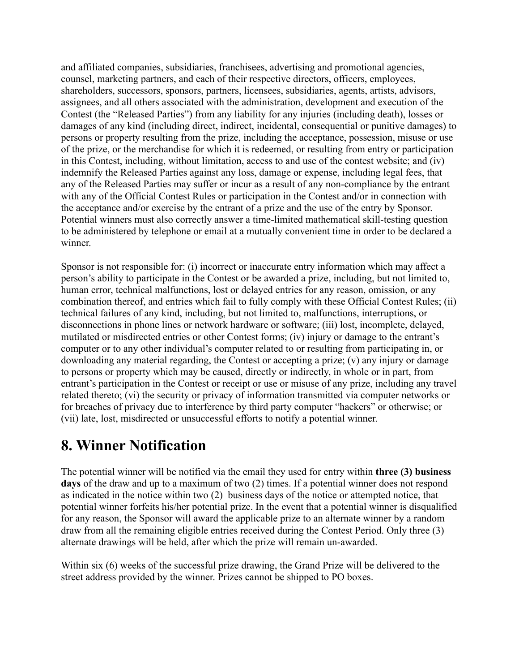and affiliated companies, subsidiaries, franchisees, advertising and promotional agencies, counsel, marketing partners, and each of their respective directors, officers, employees, shareholders, successors, sponsors, partners, licensees, subsidiaries, agents, artists, advisors, assignees, and all others associated with the administration, development and execution of the Contest (the "Released Parties") from any liability for any injuries (including death), losses or damages of any kind (including direct, indirect, incidental, consequential or punitive damages) to persons or property resulting from the prize, including the acceptance, possession, misuse or use of the prize, or the merchandise for which it is redeemed, or resulting from entry or participation in this Contest, including, without limitation, access to and use of the contest website; and (iv) indemnify the Released Parties against any loss, damage or expense, including legal fees, that any of the Released Parties may suffer or incur as a result of any non-compliance by the entrant with any of the Official Contest Rules or participation in the Contest and/or in connection with the acceptance and/or exercise by the entrant of a prize and the use of the entry by Sponsor. Potential winners must also correctly answer a time-limited mathematical skill-testing question to be administered by telephone or email at a mutually convenient time in order to be declared a winner.

Sponsor is not responsible for: (i) incorrect or inaccurate entry information which may affect a person's ability to participate in the Contest or be awarded a prize, including, but not limited to, human error, technical malfunctions, lost or delayed entries for any reason, omission, or any combination thereof, and entries which fail to fully comply with these Official Contest Rules; (ii) technical failures of any kind, including, but not limited to, malfunctions, interruptions, or disconnections in phone lines or network hardware or software; (iii) lost, incomplete, delayed, mutilated or misdirected entries or other Contest forms; (iv) injury or damage to the entrant's computer or to any other individual's computer related to or resulting from participating in, or downloading any material regarding, the Contest or accepting a prize; (v) any injury or damage to persons or property which may be caused, directly or indirectly, in whole or in part, from entrant's participation in the Contest or receipt or use or misuse of any prize, including any travel related thereto; (vi) the security or privacy of information transmitted via computer networks or for breaches of privacy due to interference by third party computer "hackers" or otherwise; or (vii) late, lost, misdirected or unsuccessful efforts to notify a potential winner.

#### **8. Winner Notification**

The potential winner will be notified via the email they used for entry within **three (3) business days** of the draw and up to a maximum of two (2) times. If a potential winner does not respond as indicated in the notice within two (2) business days of the notice or attempted notice, that potential winner forfeits his/her potential prize. In the event that a potential winner is disqualified for any reason, the Sponsor will award the applicable prize to an alternate winner by a random draw from all the remaining eligible entries received during the Contest Period. Only three (3) alternate drawings will be held, after which the prize will remain un-awarded.

Within six (6) weeks of the successful prize drawing, the Grand Prize will be delivered to the street address provided by the winner. Prizes cannot be shipped to PO boxes.